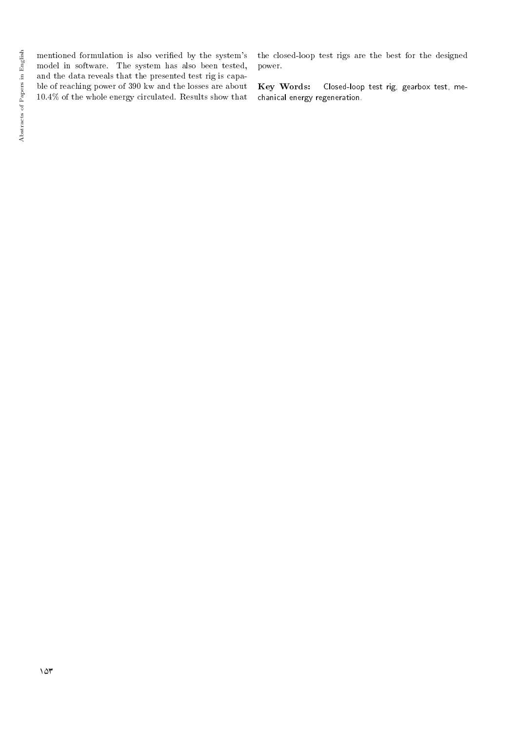mentioned formulation is also veried by the system's model in software. The system has also been tested, and the data reveals that the presented test rig is capable of reaching power of 390 kw and the losses are about 10.4% of the whole energy circulated. Results show that the closed-loop test rigs are the best for the designed power.

Key Words: Closed-loop test rig, gearbox test, mechanical energy regeneration.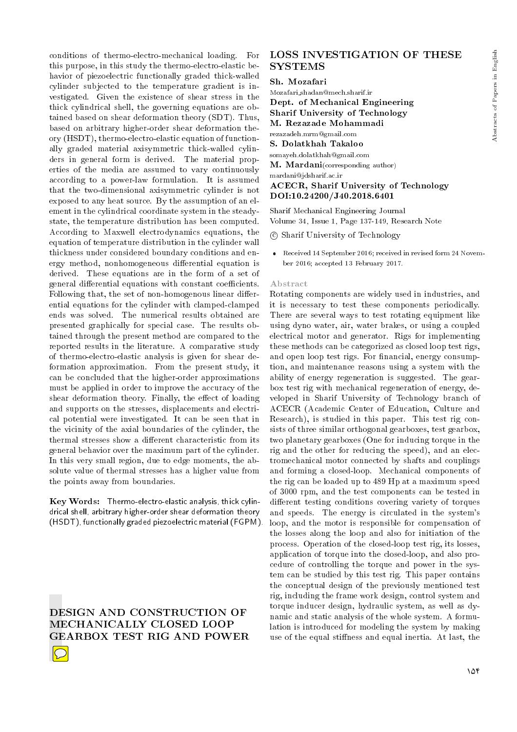conditions of thermo-electro-mechanical loading. For this purpose, in this study the thermo-electro-elastic behavior of piezoelectric functionally graded thick-walled cylinder subjected to the temperature gradient is investigated. Given the existence of shear stress in the thick cylindrical shell, the governing equations are obtained based on shear deformation theory (SDT). Thus, based on arbitrary higher-order shear deformation theory (HSDT), thermo-electro-elastic equation of functionally graded material axisymmetric thick-walled cylinders in general form is derived. The material properties of the media are assumed to vary continuously according to a power-law formulation. It is assumed that the two-dimensional axisymmetric cylinder is not exposed to any heat source. By the assumption of an element in the cylindrical coordinate system in the steadystate, the temperature distribution has been computed. According to Maxwell electrodynamics equations, the equation of temperature distribution in the cylinder wall thickness under considered boundary conditions and energy method, nonhomogeneous differential equation is derived. These equations are in the form of a set of general differential equations with constant coefficients. Following that, the set of non-homogenous linear differential equations for the cylinder with clamped-clamped ends was solved. The numerical results obtained are presented graphically for special case. The results obtained through the present method are compared to the reported results in the literature. A comparative study of thermo-electro-elastic analysis is given for shear deformation approximation. From the present study, it can be concluded that the higher-order approximations must be applied in order to improve the accuracy of the shear deformation theory. Finally, the effect of loading and supports on the stresses, displacements and electrical potential were investigated. It can be seen that in the vicinity of the axial boundaries of the cylinder, the thermal stresses show a different characteristic from its general behavior over the maximum part of the cylinder. In this very small region, due to edge moments, the absolute value of thermal stresses has a higher value from the points away from boundaries.

Key Words: Thermo-electro-elastic analysis, thick cylindrical shell, arbitrary higher-order shear deformation theory (HSDT), functionally graded piezoelectric material (FGPM).

DESIGN AND CONSTRUCTION OF MECHANICALLY CLOSED LOOP GEARBOX TEST RIG AND POWER

# LOSS INVESTIGATION OF THESE **SYSTEMS**

## Sh. Mozafari

Mozafari shadan@mech.sharif.ir Dept. of Mechanical Engineering Sharif University of Technology M. Rezazade Mohammadi rezazadeh.mrm@gmail.com

## S. Dolatkhah Takaloo

somayeh.dolatkhah@gmail.com

M. Mardani(corresponding author)

mardani@jdsharif.ac.ir

## ACECR, Sharif University of Technology DOI:10.24200/J40.2018.6401

Sharif Mechanical Engineering Journal Volume 34, Issue 1, Page 137-149, Research Note

- c Sharif University of Technology
- Received 14 September 2016; received in revised form 24 November 2016; accepted 13 February 2017.

#### Abstract

Rotating components are widely used in industries, and it is necessary to test these components periodically. There are several ways to test rotating equipment like using dyno water, air, water brakes, or using a coupled electrical motor and generator. Rigs for implementing these methods can be categorized as closed loop test rigs, and open loop test rigs. For financial, energy consumption, and maintenance reasons using a system with the ability of energy regeneration is suggested. The gearbox test rig with mechanical regeneration of energy, developed in Sharif University of Technology branch of ACECR (Academic Center of Education, Culture and Research), is studied in this paper. This test rig consists of three similar orthogonal gearboxes, test gearbox, two planetary gearboxes (One for inducing torque in the rig and the other for reducing the speed), and an electromechanical motor connected by shafts and couplings and forming a closed-loop. Mechanical components of the rig can be loaded up to 489 Hp at a maximum speed of 3000 rpm, and the test components can be tested in different testing conditions covering variety of torques and speeds. The energy is circulated in the system's loop, and the motor is responsible for compensation of the losses along the loop and also for initiation of the process. Operation of the closed-loop test rig, its losses, application of torque into the closed-loop, and also procedure of controlling the torque and power in the system can be studied by this test rig. This paper contains the conceptual design of the previously mentioned test rig, including the frame work design, control system and torque inducer design, hydraulic system, as well as dynamic and static analysis of the whole system. A formulation is introduced for modeling the system by making use of the equal stiffness and equal inertia. At last, the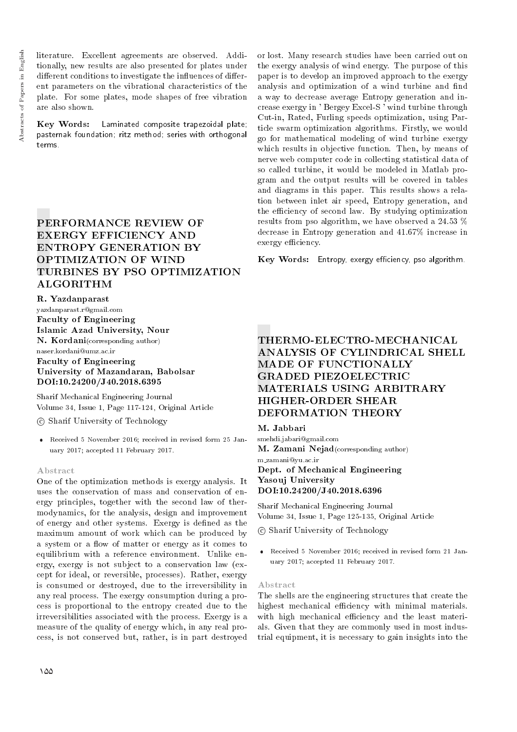literature. Excellent agreements are observed. Additionally, new results are also presented for plates under different conditions to investigate the influences of different parameters on the vibrational characteristics of the plate. For some plates, mode shapes of free vibration are also shown.

Key Words: Laminated composite trapezoidal plate; pasternak foundation; ritz method; series with orthogonal terms.

# PERFORMANCE REVIEW OF EXERGY EFFICIENCY AND ENTROPY GENERATION BY OPTIMIZATION OF WIND TURBINES BY PSO OPTIMIZATION ALGORITHM

R. Yazdanparast yazdanparast.r@gmail.com Faculty of Engineering Islamic Azad University, Nour N. Kordani(corresponding author) naser.kordani@umz.ac.ir Faculty of Engineering

University of Mazandaran, Babolsar DOI:10.24200/J40.2018.6395

Sharif Mechanical Engineering Journal Volume 34, Issue 1, Page 117-124, Original Article

c Sharif University of Technology

 Received 5 November 2016; received in revised form 25 January 2017; accepted 11 February 2017.

#### Abstract

One of the optimization methods is exergy analysis. It uses the conservation of mass and conservation of energy principles, together with the second law of thermodynamics, for the analysis, design and improvement of energy and other systems. Exergy is dened as the maximum amount of work which can be produced by a system or a flow of matter or energy as it comes to equilibrium with a reference environment. Unlike energy, exergy is not subject to a conservation law (except for ideal, or reversible, processes). Rather, exergy is consumed or destroyed, due to the irreversibility in any real process. The exergy consumption during a process is proportional to the entropy created due to the irreversibilities associated with the process. Exergy is a measure of the quality of energy which, in any real process, is not conserved but, rather, is in part destroyed

or lost. Many research studies have been carried out on the exergy analysis of wind energy. The purpose of this paper is to develop an improved approach to the exergy analysis and optimization of a wind turbine and find a way to decrease average Entropy generation and increase exergy in ' Bergey Excel-S ' wind turbine through Cut-in, Rated, Furling speeds optimization, using Particle swarm optimization algorithms. Firstly, we would go for mathematical modeling of wind turbine exergy which results in objective function. Then, by means of nerve web computer code in collecting statistical data of so called turbine, it would be modeled in Matlab program and the output results will be covered in tables and diagrams in this paper. This results shows a relation between inlet air speed, Entropy generation, and the efficiency of second law. By studying optimization results from pso algorithm, we have observed a 24.53 % decrease in Entropy generation and 41.67% increase in exergy efficiency.

 $Key Words:$  Entropy, exergy efficiency, pso algorithm.

# THERMO-ELECTRO-MECHANICAL ANALYSIS OF CYLINDRICAL SHELL MADE OF FUNCTIONALLY GRADED PIEZOELECTRIC MATERIALS USING ARBITRARY HIGHER-ORDER SHEAR DEFORMATION THEORY

## M. Jabbari

smehdi.jabari@gmail.com M. Zamani Nejad(corresponding author) m zamani@yu.ac.ir Dept. of Mechanical Engineering Yasouj University DOI:10.24200/J40.2018.6396

Sharif Mechanical Engineering Journal Volume 34, Issue 1, Page 125-135, Original Article

c Sharif University of Technology

 Received 5 November 2016; received in revised form 21 January 2017; accepted 11 February 2017.

#### Abstract

The shells are the engineering structures that create the highest mechanical efficiency with minimal materials. with high mechanical efficiency and the least materials. Given that they are commonly used in most industrial equipment, it is necessary to gain insights into the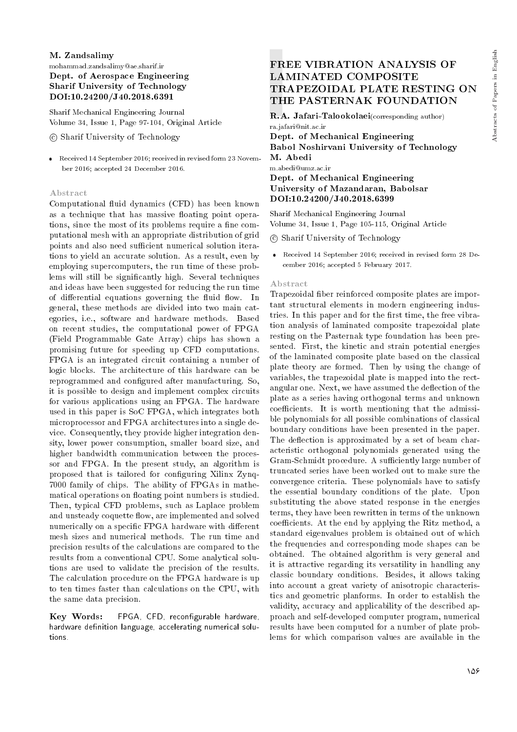#### M. Zandsalimy mohammad.zandsalimy@ae.sharif.ir Dept. of Aerospace Engineering Sharif University of Technology DOI:10.24200/J40.2018.6391

Sharif Mechanical Engineering Journal Volume 34, Issue 1, Page 97-104, Original Article

c Sharif University of Technology

 Received 14 September 2016; received in revised form 23 November 2016; accepted 24 December 2016.

#### Abstract

Computational fluid dynamics (CFD) has been known as a technique that has massive floating point operations, since the most of its problems require a fine computational mesh with an appropriate distribution of grid points and also need sufficient numerical solution iterations to yield an accurate solution. As a result, even by employing supercomputers, the run time of these problems will still be signicantly high. Several techniques and ideas have been suggested for reducing the run time of differential equations governing the fluid flow. In general, these methods are divided into two main categories, i.e., software and hardware methods. Based on recent studies, the computational power of FPGA (Field Programmable Gate Array) chips has shown a promising future for speeding up CFD computations. FPGA is an integrated circuit containing a number of logic blocks. The architecture of this hardware can be reprogrammed and configured after manufacturing. So, it is possible to design and implement complex circuits for various applications using an FPGA. The hardware used in this paper is SoC FPGA, which integrates both microprocessor and FPGA architectures into a single device. Consequently, they provide higher integration density, lower power consumption, smaller board size, and higher bandwidth communication between the processor and FPGA. In the present study, an algorithm is proposed that is tailored for conguring Xilinx Zynq-7000 family of chips. The ability of FPGAs in mathematical operations on floating point numbers is studied. Then, typical CFD problems, such as Laplace problem and unsteady coquette flow, are implemented and solved numerically on a specific FPGA hardware with different mesh sizes and numerical methods. The run time and precision results of the calculations are compared to the results from a conventional CPU. Some analytical solutions are used to validate the precision of the results. The calculation procedure on the FPGA hardware is up to ten times faster than calculations on the CPU, with the same data precision.

Key Words: FPGA, CFD, reconfigurable hardware, hardware definition language, accelerating numerical solutions.

# FREE VIBRATION ANALYSIS OF LAMINATED COMPOSITE TRAPEZOIDAL PLATE RESTING ON THE PASTERNAK FOUNDATION

R.A. Jafari-Talookolaei(corresponding author) ra.jafari@nit.ac.ir

Dept. of Mechanical Engineering Babol Noshirvani University of Technology M. Abedi m.abedi@umz.ac.ir

## Dept. of Mechanical Engineering University of Mazandaran, Babolsar DOI:10.24200/J40.2018.6399

Sharif Mechanical Engineering Journal Volume 34, Issue 1, Page 105-115, Original Article

- c Sharif University of Technology
- Received 14 September 2016; received in revised form 28 December 2016; accepted 5 February 2017.

#### Abstract

Trapezoidal ber reinforced composite plates are important structural elements in modern engineering industries. In this paper and for the first time, the free vibration analysis of laminated composite trapezoidal plate resting on the Pasternak type foundation has been presented. First, the kinetic and strain potential energies of the laminated composite plate based on the classical plate theory are formed. Then by using the change of variables, the trapezoidal plate is mapped into the rectangular one. Next, we have assumed the deflection of the plate as a series having orthogonal terms and unknown coefficients. It is worth mentioning that the admissible polynomials for all possible combinations of classical boundary conditions have been presented in the paper. The deflection is approximated by a set of beam characteristic orthogonal polynomials generated using the Gram-Schmidt procedure. A sufficiently large number of truncated series have been worked out to make sure the convergence criteria. These polynomials have to satisfy the essential boundary conditions of the plate. Upon substituting the above stated response in the energies terms, they have been rewritten in terms of the unknown coefficients. At the end by applying the Ritz method, a standard eigenvalues problem is obtained out of which the frequencies and corresponding mode shapes can be obtained. The obtained algorithm is very general and it is attractive regarding its versatility in handling any classic boundary conditions. Besides, it allows taking into account a great variety of anisotropic characteristics and geometric planforms. In order to establish the validity, accuracy and applicability of the described approach and self-developed computer program, numerical results have been computed for a number of plate problems for which comparison values are available in the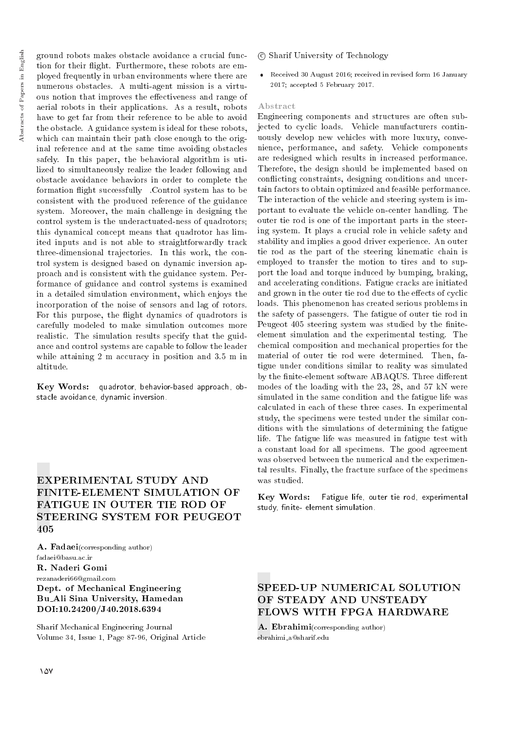ground robots makes obstacle avoidance a crucial function for their flight. Furthermore, these robots are employed frequently in urban environments where there are numerous obstacles. A multi-agent mission is a virtuous notion that improves the effectiveness and range of aerial robots in their applications. As a result, robots have to get far from their reference to be able to avoid the obstacle. A guidance system is ideal for these robots, which can maintain their path close enough to the original reference and at the same time avoiding obstacles safely. In this paper, the behavioral algorithm is utilized to simultaneously realize the leader following and obstacle avoidance behaviors in order to complete the formation flight successfully . Control system has to be consistent with the produced reference of the guidance system. Moreover, the main challenge in designing the control system is the underactuated-ness of quadrotors; this dynamical concept means that quadrotor has limited inputs and is not able to straightforwardly track three-dimensional trajectories. In this work, the control system is designed based on dynamic inversion approach and is consistent with the guidance system. Performance of guidance and control systems is examined in a detailed simulation environment, which enjoys the incorporation of the noise of sensors and lag of rotors. For this purpose, the flight dynamics of quadrotors is carefully modeled to make simulation outcomes more realistic. The simulation results specify that the guidance and control systems are capable to follow the leader while attaining 2 m accuracy in position and 3.5 m in altitude.

Key Words: quadrotor, behavior-based approach, obstacle avoidance, dynamic inversion.

# EXPERIMENTAL STUDY AND FINITE-ELEMENT SIMULATION OF FATIGUE IN OUTER TIE ROD OF STEERING SYSTEM FOR PEUGEOT 405

A. Fadaei(corresponding author) fadaei@basu.ac.ir R. Naderi Gomi rezanaderi66@gmail.com Dept. of Mechanical Engineering Bu Ali Sina University, Hamedan DOI:10.24200/J40.2018.6394

Sharif Mechanical Engineering Journal Volume 34, Issue 1, Page 87-96, Original Article

- c Sharif University of Technology
- Received 30 August 2016; received in revised form 16 January 2017; accepted 5 February 2017.

#### Abstract

Engineering components and structures are often subjected to cyclic loads. Vehicle manufacturers continuously develop new vehicles with more luxury, convenience, performance, and safety. Vehicle components are redesigned which results in increased performance. Therefore, the design should be implemented based on con
icting constraints, designing conditions and uncertain factors to obtain optimized and feasible performance. The interaction of the vehicle and steering system is important to evaluate the vehicle on-center handling. The outer tie rod is one of the important parts in the steering system. It plays a crucial role in vehicle safety and stability and implies a good driver experience. An outer tie rod as the part of the steering kinematic chain is employed to transfer the motion to tires and to support the load and torque induced by bumping, braking, and accelerating conditions. Fatigue cracks are initiated and grown in the outer tie rod due to the effects of cyclic loads. This phenomenon has created serious problems in the safety of passengers. The fatigue of outer tie rod in Peugeot 405 steering system was studied by the finiteelement simulation and the experimental testing. The chemical composition and mechanical properties for the material of outer tie rod were determined. Then, fatigue under conditions similar to reality was simulated by the finite-element software ABAQUS. Three different modes of the loading with the 23, 28, and 57 kN were simulated in the same condition and the fatigue life was calculated in each of these three cases. In experimental study, the specimens were tested under the similar conditions with the simulations of determining the fatigue life. The fatigue life was measured in fatigue test with a constant load for all specimens. The good agreement was observed between the numerical and the experimental results. Finally, the fracture surface of the specimens was studied.

Key Words: Fatigue life, outer tie rod, experimental study, finite- element simulation.

# SPEED-UP NUMERICAL SOLUTION OF STEADY AND UNSTEADY FLOWS WITH FPGA HARDWARE

A. Ebrahimi(corresponding author) ebrahimi a@sharif.edu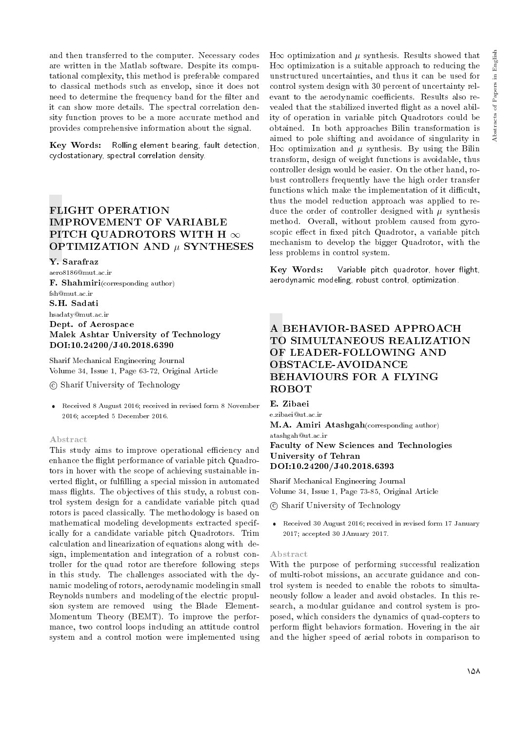and then transferred to the computer. Necessary codes are written in the Matlab software. Despite its computational complexity, this method is preferable compared to classical methods such as envelop, since it does not need to determine the frequency band for the filter and it can show more details. The spectral correlation density function proves to be a more accurate method and provides comprehensive information about the signal.

Key Words: Rolling element bearing, fault detection, cyclostationary, spectral correlation density.

# FLIGHT OPERATION IMPROVEMENT OF VARIABLE PITCH QUADROTORS WITH H  $\infty$ OPTIMIZATION AND  $\mu$  SYNTHESES

Y. Sarafraz

aero8186@mut.ac.ir F. Shahmiri(corresponding author) fsh@mut.ac.ir S.H. Sadati hsadaty@mut.ac.ir Dept. of Aerospace Malek Ashtar University of Technology DOI:10.24200/J40.2018.6390

Sharif Mechanical Engineering Journal Volume 34, Issue 1, Page 63-72, Original Article

c Sharif University of Technology

 Received 8 August 2016; received in revised form 8 November 2016; accepted 5 December 2016.

#### Abstract

This study aims to improve operational efficiency and enhance the flight performance of variable pitch Quadrotors in hover with the scope of achieving sustainable inverted flight, or fulfilling a special mission in automated mass flights. The objectives of this study, a robust control system design for a candidate variable pitch quad rotors is paced classically. The methodology is based on mathematical modeling developments extracted specifically for a candidate variable pitch Quadrotors. Trim calculation and linearization of equations along with design, implementation and integration of a robust controller for the quad rotor are therefore following steps in this study. The challenges associated with the dynamic modeling of rotors, aerodynamic modeling in small Reynolds numbers and modeling of the electric propulsion system are removed using the Blade Element-Momentum Theory (BEMT). To improve the performance, two control loops including an attitude control system and a control motion were implemented using  $H\infty$  optimization and  $\mu$  synthesis. Results showed that  $H\infty$  optimization is a suitable approach to reducing the unstructured uncertainties, and thus it can be used for control system design with 30 percent of uncertainty relevant to the aerodynamic coefficients. Results also revealed that the stabilized inverted flight as a novel ability of operation in variable pitch Quadrotors could be obtained. In both approaches Bilin transformation is aimed to pole shifting and avoidance of singularity in  $H\infty$  optimization and  $\mu$  synthesis. By using the Bilin transform, design of weight functions is avoidable, thus controller design would be easier. On the other hand, robust controllers frequently have the high order transfer functions which make the implementation of it difficult, thus the model reduction approach was applied to reduce the order of controller designed with  $\mu$  synthesis method. Overall, without problem caused from gyroscopic effect in fixed pitch Quadrotor, a variable pitch mechanism to develop the bigger Quadrotor, with the less problems in control system.

Key Words: Variable pitch quadrotor, hover flight, aerodynamic modeling, robust control, optimization.

## A BEHAVIOR-BASED APPROACH TO SIMULTANEOUS REALIZATION OF LEADER-FOLLOWING AND OBSTACLE-AVOIDANCE BEHAVIOURS FOR A FLYING ROBOT

E. Zibaei

e.zibaei@ut.ac.ir

M.A. Amiri Atashgah(corresponding author) atashgah@ut.ac.ir

Faculty of New Sciences and Technologies University of Tehran DOI:10.24200/J40.2018.6393

Sharif Mechanical Engineering Journal Volume 34, Issue 1, Page 73-85, Original Article

c Sharif University of Technology

 Received 30 August 2016; received in revised form 17 January 2017; accepted 30 JAnuary 2017.

#### Abstract

With the purpose of performing successful realization of multi-robot missions, an accurate guidance and control system is needed to enable the robots to simultaneously follow a leader and avoid obstacles. In this research, a modular guidance and control system is proposed, which considers the dynamics of quad-copters to perform 
ight behaviors formation. Hovering in the air and the higher speed of aerial robots in comparison to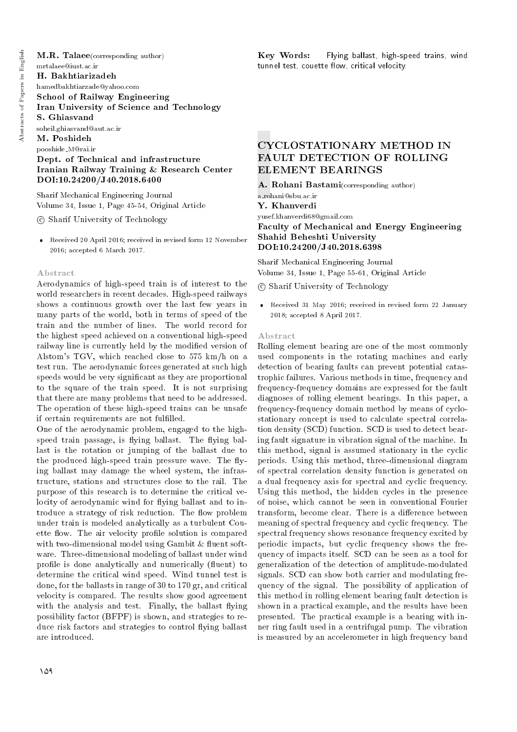M.R. Talaee(corresponding author) mrtalaee@iust.ac.ir H. Bakhtiarizadeh

hamedbakhtiarzade@yahoo.com

School of Railway Engineering

Iran University of Science and Technology

S. Ghiasvand

soheil.ghiasvand@aut.ac.ir M. Poshideh

pooshide M@rai.ir

Dept. of Technical and infrastructure Iranian Railway Training & Research Center DOI:10.24200/J40.2018.6400

Sharif Mechanical Engineering Journal Volume 34, Issue 1, Page 45-54, Original Article

c Sharif University of Technology

 Received 20 April 2016; received in revised form 12 November 2016; accepted 6 March 2017.

#### Abstract

Aerodynamics of high-speed train is of interest to the world researchers in recent decades. High-speed railways shows a continuous growth over the last few years in many parts of the world, both in terms of speed of the train and the number of lines. The world record for the highest speed achieved on a conventional high-speed railway line is currently held by the modied version of Alstom's TGV, which reached close to 575 km/h on a test run. The aerodynamic forces generated at such high speeds would be very signicant as they are proportional to the square of the train speed. It is not surprising that there are many problems that need to be addressed. The operation of these high-speed trains can be unsafe if certain requirements are not fulfilled.

One of the aerodynamic problem, engaged to the highspeed train passage, is flying ballast. The flying ballast is the rotation or jumping of the ballast due to the produced high-speed train pressure wave. The flying ballast may damage the wheel system, the infrastructure, stations and structures close to the rail. The purpose of this research is to determine the critical velocity of aerodynamic wind for flying ballast and to introduce a strategy of risk reduction. The flow problem under train is modeled analytically as a turbulent Couette flow. The air velocity profile solution is compared with two-dimensional model using Gambit & fluent software. Three-dimensional modeling of ballast under wind profile is done analytically and numerically (fluent) to determine the critical wind speed. Wind tunnel test is done, for the ballasts in range of 30 to 170 gr, and critical velocity is compared. The results show good agreement with the analysis and test. Finally, the ballast flying possibility factor (BFPF) is shown, and strategies to reduce risk factors and strategies to control flying ballast are introduced.

Key Words: Flying ballast, high-speed trains, wind tunnel test, couette flow, critical velocity.

# CYCLOSTATIONARY METHOD IN FAULT DETECTION OF ROLLING ELEMENT BEARINGS

A. Rohani Bastami(corresponding author)

a rohani@sbu.ac.ir Y. Khanverdi

yusef.khanverdi68@gmail.com

Faculty of Mechanical and Energy Engineering Shahid Beheshti University DOI:10.24200/J40.2018.6398

Sharif Mechanical Engineering Journal Volume 34, Issue 1, Page 55-61, Original Article

c Sharif University of Technology

 Received 31 May 2016; received in revised form 22 January 2018; accepted 8 April 2017.

#### Abstract

Rolling element bearing are one of the most commonly used components in the rotating machines and early detection of bearing faults can prevent potential catastrophic failures. Various methods in time, frequency and frequency-frequency domains are expressed for the fault diagnoses of rolling element bearings. In this paper, a frequency-frequency domain method by means of cyclostationary concept is used to calculate spectral correlation density (SCD) function. SCD is used to detect bearing fault signature in vibration signal of the machine. In this method, signal is assumed stationary in the cyclic periods. Using this method, three-dimensional diagram of spectral correlation density function is generated on a dual frequency axis for spectral and cyclic frequency. Using this method, the hidden cycles in the presence of noise, which cannot be seen in conventional Fourier transform, become clear. There is a difference between meaning of spectral frequency and cyclic frequency. The spectral frequency shows resonance frequency excited by periodic impacts, but cyclic frequency shows the frequency of impacts itself. SCD can be seen as a tool for generalization of the detection of amplitude-modulated signals. SCD can show both carrier and modulating frequency of the signal. The possibility of application of this method in rolling element bearing fault detection is shown in a practical example, and the results have been presented. The practical example is a bearing with inner ring fault used in a centrifugal pump. The vibration is measured by an accelerometer in high frequency band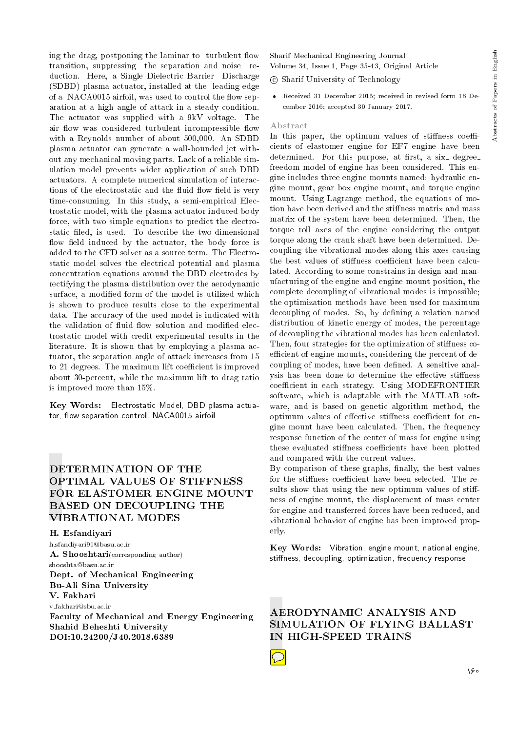ing the drag, postponing the laminar to turbulent flow transition, suppressing the separation and noise reduction. Here, a Single Dielectric Barrier Discharge (SDBD) plasma actuator, installed at the leading edge of a NACA0015 airfoil, was used to control the flow separation at a high angle of attack in a steady condition. The actuator was supplied with a 9kV voltage. The air flow was considered turbulent incompressible flow with a Reynolds number of about 500,000. An SDBD plasma actuator can generate a wall-bounded jet without any mechanical moving parts. Lack of a reliable simulation model prevents wider application of such DBD actuators. A complete numerical simulation of interactions of the electrostatic and the fluid flow field is very time-consuming. In this study, a semi-empirical Electrostatic model, with the plasma actuator induced body force, with two simple equations to predict the electrostatic filed, is used. To describe the two-dimensional flow field induced by the actuator, the body force is added to the CFD solver as a source term. The Electrostatic model solves the electrical potential and plasma concentration equations around the DBD electrodes by rectifying the plasma distribution over the aerodynamic surface, a modified form of the model is utilized which is shown to produce results close to the experimental data. The accuracy of the used model is indicated with the validation of fluid flow solution and modified electrostatic model with credit experimental results in the literature. It is shown that by employing a plasma actuator, the separation angle of attack increases from 15 to 21 degrees. The maximum lift coefficient is improved about 30-percent, while the maximum lift to drag ratio is improved more than 15%.

Key Words: Electrostatic Model, DBD plasma actuator, flow separation control, NACA0015 airfoil.

# DETERMINATION OF THE OPTIMAL VALUES OF STIFFNESS FOR ELASTOMER ENGINE MOUNT BASED ON DECOUPLING THE VIBRATIONAL MODES

H. Esfandiyari h.sfandiyari91@basu.ac.ir A. Shooshtari(corresponding author) shooshta@basu.ac.ir Dept. of Mechanical Engineering Bu-Ali Sina University V. Fakhari v fakhari@sbu.ac.ir Faculty of Mechanical and Energy Engineering Shahid Beheshti University DOI:10.24200/J40.2018.6389

- c Sharif University of Technology
- Received 31 December 2015; received in revised form 18 December 2016; accepted 30 January 2017.

## Abstract

In this paper, the optimum values of stiffness coefficients of elastomer engine for EF7 engine have been determined. For this purpose, at first, a six degree freedom model of engine has been considered. This engine includes three engine mounts named: hydraulic engine mount, gear box engine mount, and torque engine mount. Using Lagrange method, the equations of motion have been derived and the stiffness matrix and mass matrix of the system have been determined. Then, the torque roll axes of the engine considering the output torque along the crank shaft have been determined. Decoupling the vibrational modes along this axes causing the best values of stiffness coefficient have been calculated. According to some constrains in design and manufacturing of the engine and engine mount position, the complete decoupling of vibrational modes is impossible; the optimization methods have been used for maximum decoupling of modes. So, by defining a relation named distribution of kinetic energy of modes, the percentage of decoupling the vibrational modes has been calculated. Then, four strategies for the optimization of stiffness coefficient of engine mounts, considering the percent of decoupling of modes, have been defined. A sensitive analysis has been done to determine the effective stiffness coefficient in each strategy. Using MODEFRONTIER software, which is adaptable with the MATLAB software, and is based on genetic algorithm method, the optimum values of effective stiffness coefficient for engine mount have been calculated. Then, the frequency response function of the center of mass for engine using these evaluated stiffness coefficients have been plotted and compared with the current values.

By comparison of these graphs, finally, the best values for the stiffness coefficient have been selected. The results show that using the new optimum values of stiffness of engine mount, the displacement of mass center for engine and transferred forces have been reduced, and vibrational behavior of engine has been improved properly.

Key Words: Vibration, engine mount, national engine, stiffness, decoupling, optimization, frequency response.

AERODYNAMIC ANALYSIS AND SIMULATION OF FLYING BALLAST IN HIGH-SPEED TRAINS

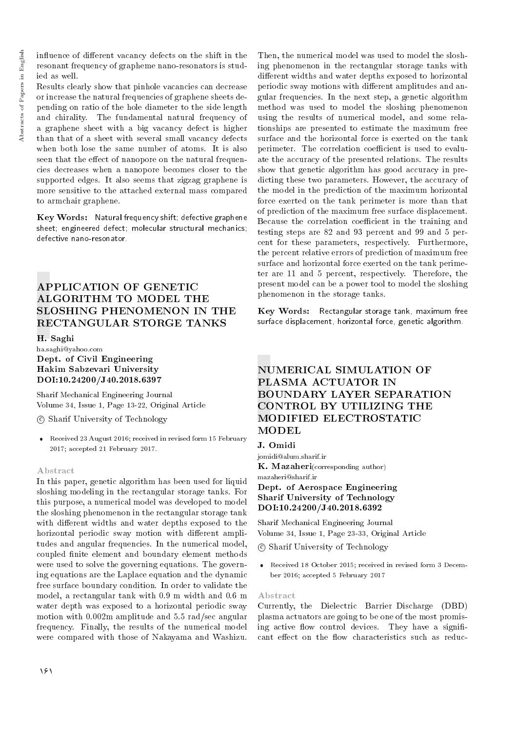influence of different vacancy defects on the shift in the resonant frequency of grapheme nano-resonators is studied as well.

Results clearly show that pinhole vacancies can decrease or increase the natural frequencies of graphene sheets depending on ratio of the hole diameter to the side length and chirality. The fundamental natural frequency of a graphene sheet with a big vacancy defect is higher than that of a sheet with several small vacancy defects when both lose the same number of atoms. It is also seen that the effect of nanopore on the natural frequencies decreases when a nanopore becomes closer to the supported edges. It also seems that zigzag graphene is more sensitive to the attached external mass compared to armchair graphene.

Key Words: Natural frequency shift; defective graphene sheet; engineered defect; molecular structural mechanics; defective nano-resonator.

# APPLICATION OF GENETIC ALGORITHM TO MODEL THE SLOSHING PHENOMENON IN THE RECTANGULAR STORGE TANKS

## H. Saghi

ha.saghi@yahoo.com Dept. of Civil Engineering Hakim Sabzevari University DOI:10.24200/J40.2018.6397

Sharif Mechanical Engineering Journal Volume 34, Issue 1, Page 13-22, Original Article

c Sharif University of Technology

 Received 23 August 2016; received in revised form 15 February 2017; accepted 21 February 2017.

#### Abstract

In this paper, genetic algorithm has been used for liquid sloshing modeling in the rectangular storage tanks. For this purpose, a numerical model was developed to model the sloshing phenomenon in the rectangular storage tank with different widths and water depths exposed to the horizontal periodic sway motion with different amplitudes and angular frequencies. In the numerical model, coupled nite element and boundary element methods were used to solve the governing equations. The governing equations are the Laplace equation and the dynamic free surface boundary condition. In order to validate the model, a rectangular tank with 0.9 m width and 0.6 m water depth was exposed to a horizontal periodic sway motion with 0.002m amplitude and 5.5 rad/sec angular frequency. Finally, the results of the numerical model were compared with those of Nakayama and Washizu.

Then, the numerical model was used to model the sloshing phenomenon in the rectangular storage tanks with different widths and water depths exposed to horizontal periodic sway motions with different amplitudes and angular frequencies. In the next step, a genetic algorithm method was used to model the sloshing phenomenon using the results of numerical model, and some relationships are presented to estimate the maximum free surface and the horizontal force is exerted on the tank perimeter. The correlation coefficient is used to evaluate the accuracy of the presented relations. The results show that genetic algorithm has good accuracy in predicting these two parameters. However, the accuracy of the model in the prediction of the maximum horizontal force exerted on the tank perimeter is more than that of prediction of the maximum free surface displacement. Because the correlation coefficient in the training and testing steps are 82 and 93 percent and 99 and 5 percent for these parameters, respectively. Furthermore, the percent relative errors of prediction of maximum free surface and horizontal force exerted on the tank perimeter are 11 and 5 percent, respectively. Therefore, the present model can be a power tool to model the sloshing phenomenon in the storage tanks.

Key Words: Rectangular storage tank, maximum free surface displacement, horizontal force, genetic algorithm.

# NUMERICAL SIMULATION OF PLASMA ACTUATOR IN BOUNDARY LAYER SEPARATION CONTROL BY UTILIZING THE MODIFIED ELECTROSTATIC MODEL

#### J. Omidi

jomidi@alum.sharif.ir K. Mazaheri(corresponding author) mazaheri@sharif.ir Dept. of Aerospace Engineering

## Sharif University of Technology DOI:10.24200/J40.2018.6392

Sharif Mechanical Engineering Journal Volume 34, Issue 1, Page 23-33, Original Article

c Sharif University of Technology

 Received 18 October 2015; received in revised form 3 December 2016; accepted 5 February 2017

#### Abstract

Currently, the Dielectric Barrier Discharge (DBD) plasma actuators are going to be one of the most promising active flow control devices. They have a significant effect on the flow characteristics such as reduc-